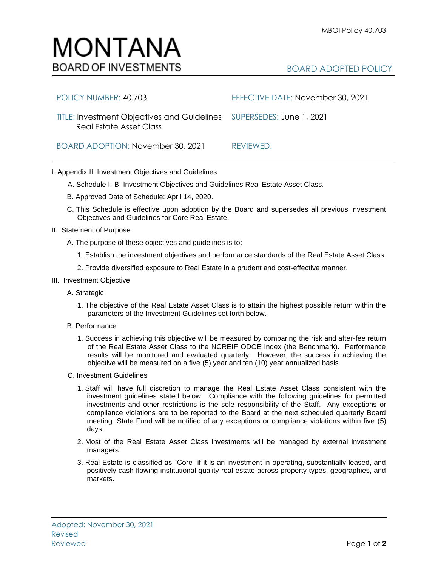## MONTANA **BOARD OF INVESTMENTS**

## BOARD ADOPTED POLICY

| POLICY NUMBER: 40.703                                                                                  | EFFECTIVE DATE: November 30, 2021 |
|--------------------------------------------------------------------------------------------------------|-----------------------------------|
| TITLE: Investment Objectives and Guidelines SUPERSEDES: June 1, 2021<br><b>Real Estate Asset Class</b> |                                   |
| BOARD ADOPTION: November 30, 2021                                                                      | REVIEWED:                         |

## I. Appendix II: Investment Objectives and Guidelines

- A. Schedule II-B: Investment Objectives and Guidelines Real Estate Asset Class.
- B. Approved Date of Schedule: April 14, 2020.
- C. This Schedule is effective upon adoption by the Board and supersedes all previous Investment Objectives and Guidelines for Core Real Estate.
- II. Statement of Purpose
	- A. The purpose of these objectives and guidelines is to:
		- 1. Establish the investment objectives and performance standards of the Real Estate Asset Class.
		- 2. Provide diversified exposure to Real Estate in a prudent and cost-effective manner.
- III. Investment Objective
	- A. Strategic
		- 1. The objective of the Real Estate Asset Class is to attain the highest possible return within the parameters of the Investment Guidelines set forth below.
	- B. Performance
		- 1. Success in achieving this objective will be measured by comparing the risk and after-fee return of the Real Estate Asset Class to the NCREIF ODCE Index (the Benchmark). Performance results will be monitored and evaluated quarterly. However, the success in achieving the objective will be measured on a five (5) year and ten (10) year annualized basis.
	- C. Investment Guidelines
		- 1. Staff will have full discretion to manage the Real Estate Asset Class consistent with the investment guidelines stated below. Compliance with the following guidelines for permitted investments and other restrictions is the sole responsibility of the Staff. Any exceptions or compliance violations are to be reported to the Board at the next scheduled quarterly Board meeting. State Fund will be notified of any exceptions or compliance violations within five (5) days.
		- 2. Most of the Real Estate Asset Class investments will be managed by external investment managers.
		- 3. Real Estate is classified as "Core" if it is an investment in operating, substantially leased, and positively cash flowing institutional quality real estate across property types, geographies, and markets.